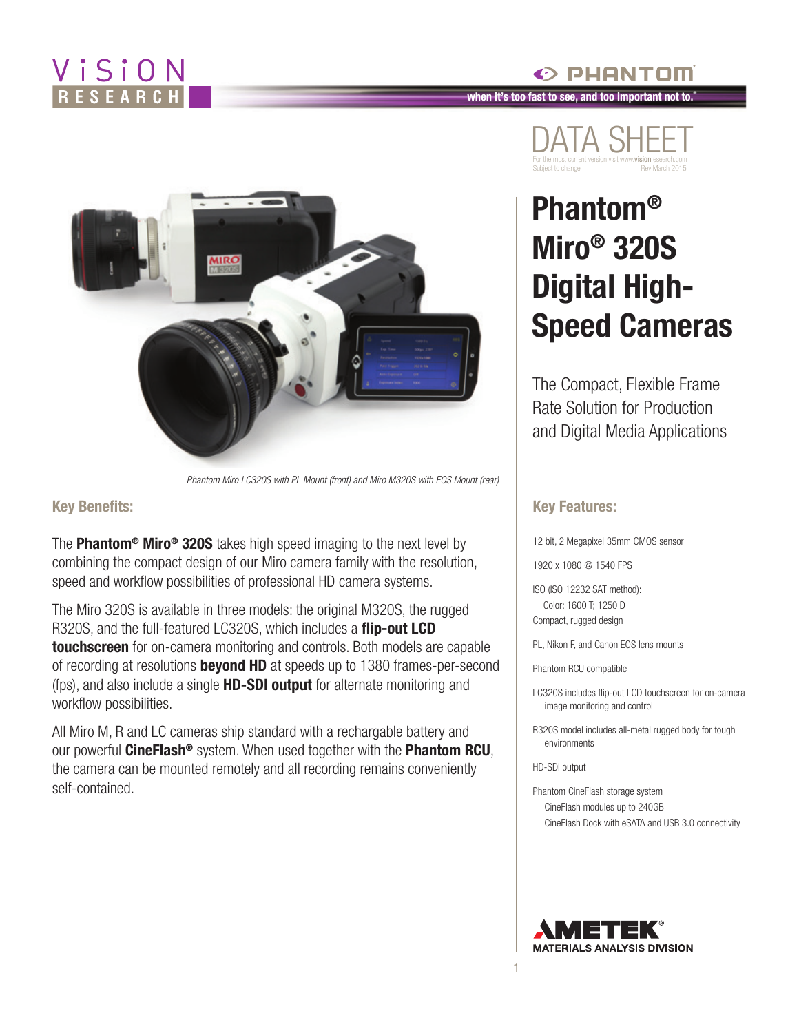## ViSiON RESEARC





*Phantom Miro LC320S with PL Mount (front) and Miro M320S with EOS Mount (rear)*

#### **Key Benefits:**

The **Phantom® Miro® 320S** takes high speed imaging to the next level by combining the compact design of our Miro camera family with the resolution, speed and workflow possibilities of professional HD camera systems.

The Miro 320S is available in three models: the original M320S, the rugged R320S, and the full-featured LC320S, which includes a **flip-out LCD touchscreen** for on-camera monitoring and controls. Both models are capable of recording at resolutions **beyond HD** at speeds up to 1380 frames-per-second (fps), and also include a single **HD-SDI output** for alternate monitoring and workflow possibilities.

All Miro M, R and LC cameras ship standard with a rechargable battery and our powerful **CineFlash®** system. When used together with the **Phantom RCU**, the camera can be mounted remotely and all recording remains conveniently self-contained.



PHANTOM

# **Phantom® Miro® 320S Digital High-Speed Cameras**

The Compact, Flexible Frame Rate Solution for Production and Digital Media Applications

#### **Key Features:**

12 bit, 2 Megapixel 35mm CMOS sensor

1920 x 1080 @ 1540 FPS

ISO (ISO 12232 SAT method): Color: 1600 T; 1250 D Compact, rugged design

PL, Nikon F, and Canon EOS lens mounts

Phantom RCU compatible

LC320S includes flip-out LCD touchscreen for on-camera image monitoring and control

R320S model includes all-metal rugged body for tough environments

HD-SDI output

1

Phantom CineFlash storage system CineFlash modules up to 240GB CineFlash Dock with eSATA and USB 3.0 connectivity

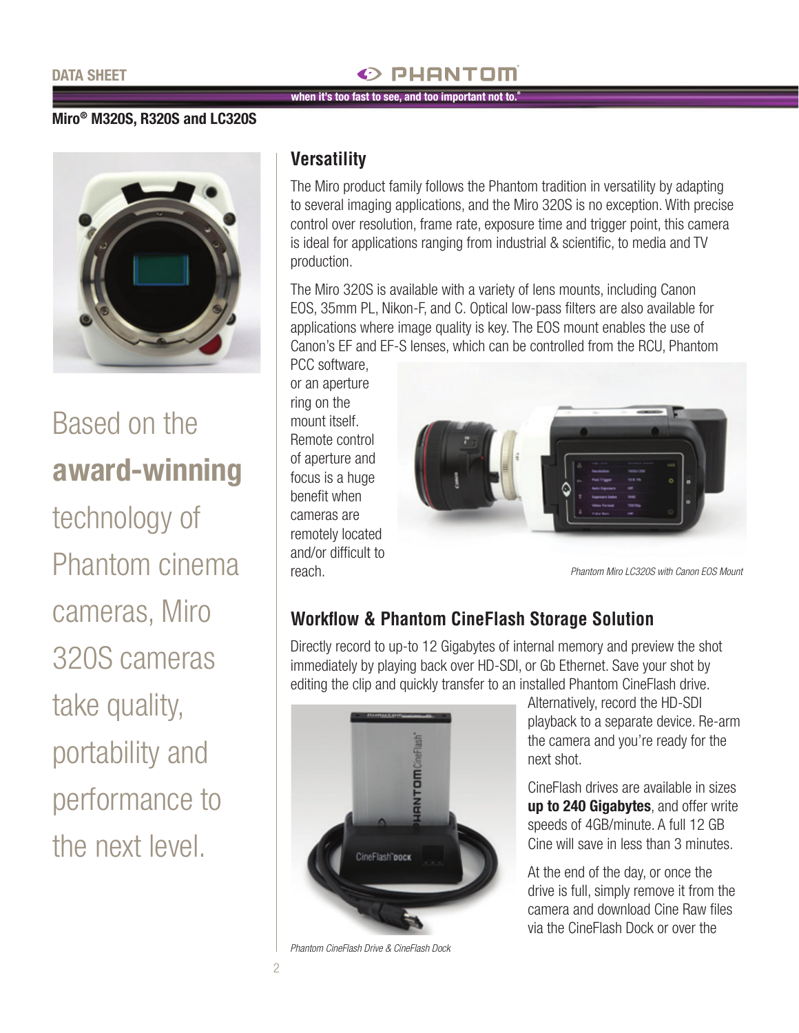## PHANTOM

**when it's too fast to see, and too important not to.®**

#### **Miro® M320S, R320S and LC320S**



# Based on the **award-winning**

technology of Phantom cinema cameras, Miro 320S cameras take quality, portability and performance to the next level.

#### **Versatility**

The Miro product family follows the Phantom tradition in versatility by adapting to several imaging applications, and the Miro 320S is no exception. With precise control over resolution, frame rate, exposure time and trigger point, this camera is ideal for applications ranging from industrial & scientific, to media and TV production.

The Miro 320S is available with a variety of lens mounts, including Canon EOS, 35mm PL, Nikon-F, and C. Optical low-pass filters are also available for applications where image quality is key. The EOS mount enables the use of Canon's EF and EF-S lenses, which can be controlled from the RCU, Phantom

PCC software, or an aperture ring on the mount itself. Remote control of aperture and focus is a huge benefit when cameras are remotely located and/or difficult to reach.



*Phantom Miro LC320S with Canon EOS Mount*

## **Workflow & Phantom CineFlash Storage Solution**

Directly record to up-to 12 Gigabytes of internal memory and preview the shot immediately by playing back over HD-SDI, or Gb Ethernet. Save your shot by editing the clip and quickly transfer to an installed Phantom CineFlash drive.



*Phantom CineFlash Drive & CineFlash Dock*

Alternatively, record the HD-SDI playback to a separate device. Re-arm the camera and you're ready for the next shot.

CineFlash drives are available in sizes **up to 240 Gigabytes**, and offer write speeds of 4GB/minute. A full 12 GB Cine will save in less than 3 minutes.

At the end of the day, or once the drive is full, simply remove it from the camera and download Cine Raw files via the CineFlash Dock or over the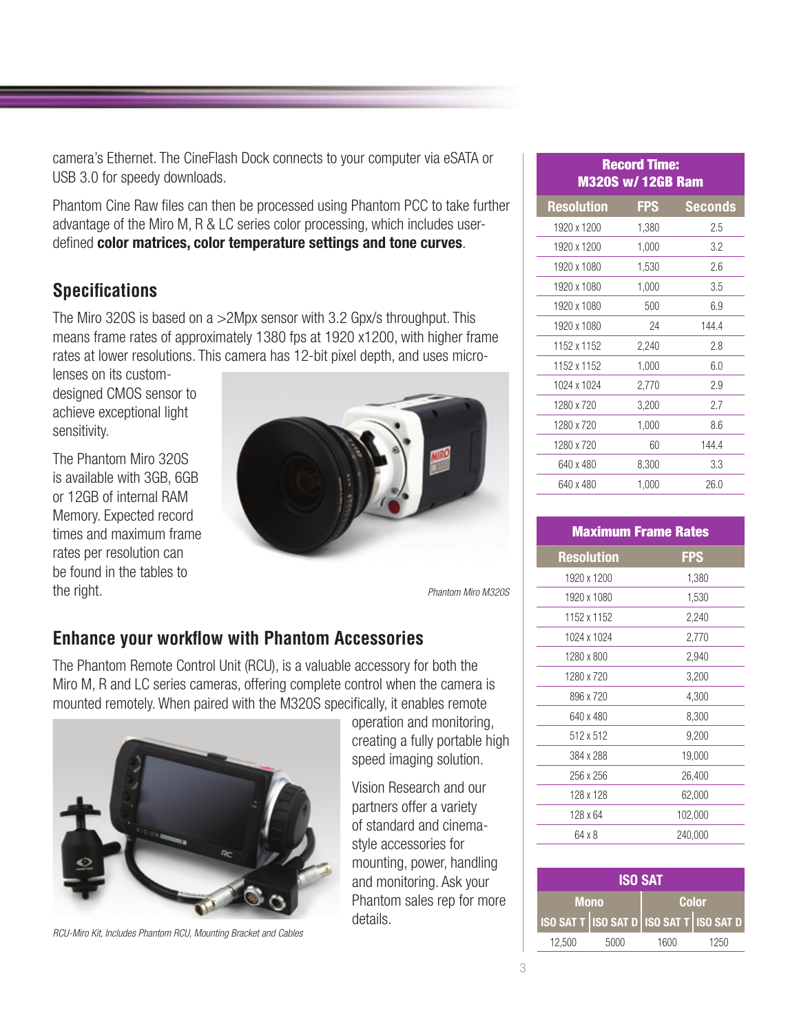camera's Ethernet. The CineFlash Dock connects to your computer via eSATA or USB 3.0 for speedy downloads.

Phantom Cine Raw files can then be processed using Phantom PCC to take further advantage of the Miro M, R & LC series color processing, which includes userdefined **color matrices, color temperature settings and tone curves**.

## **Specifications**

The Miro 320S is based on a >2Mpx sensor with 3.2 Gpx/s throughput. This means frame rates of approximately 1380 fps at 1920 x1200, with higher frame rates at lower resolutions. This camera has 12-bit pixel depth, and uses micro-

lenses on its customdesigned CMOS sensor to achieve exceptional light sensitivity.

The Phantom Miro 320S is available with 3GB, 6GB or 12GB of internal RAM Memory. Expected record times and maximum frame rates per resolution can be found in the tables to the right.



*Phantom Miro M320S*

### **Enhance your workflow with Phantom Accessories**

The Phantom Remote Control Unit (RCU), is a valuable accessory for both the Miro M, R and LC series cameras, offering complete control when the camera is mounted remotely. When paired with the M320S specifically, it enables remote



*RCU-Miro Kit, Includes Phantom RCU, Mounting Bracket and Cables*

operation and monitoring, creating a fully portable high speed imaging solution.

Vision Research and our partners offer a variety of standard and cinemastyle accessories for mounting, power, handling and monitoring. Ask your Phantom sales rep for more details.

| <b>Record Time:</b><br><b>M320S w/12GB Ram</b> |            |                |  |  |  |
|------------------------------------------------|------------|----------------|--|--|--|
| <b>Resolution</b>                              | <b>FPS</b> | <b>Seconds</b> |  |  |  |
| 1920 x 1200                                    | 1,380      | 2.5            |  |  |  |
| 1920 x 1200                                    | 1,000      | 3.2            |  |  |  |
| 1920 x 1080                                    | 1,530      | 2.6            |  |  |  |
| 1920 x 1080                                    | 1,000      | 3.5            |  |  |  |
| 1920 x 1080                                    | 500        | 6.9            |  |  |  |
| 1920 x 1080                                    | 24         | 144.4          |  |  |  |
| 1152 x 1152                                    | 2,240      | 2.8            |  |  |  |
| 1152 x 1152                                    | 1,000      | 6.0            |  |  |  |
| 1024 x 1024                                    | 2,770      | 2.9            |  |  |  |
| 1280 x 720                                     | 3,200      | 2.7            |  |  |  |
| 1280 x 720                                     | 1,000      | 8.6            |  |  |  |
| 1280 x 720                                     | 60         | 144.4          |  |  |  |
| 640 x 480                                      | 8,300      | 3.3            |  |  |  |
| 640 x 480                                      | 1,000      | 26.0           |  |  |  |

| <b>Maximum Frame Rates</b> |         |  |  |  |
|----------------------------|---------|--|--|--|
| <b>Resolution</b>          | FPS     |  |  |  |
| 1920 x 1200                | 1,380   |  |  |  |
| 1920 x 1080                | 1,530   |  |  |  |
| 1152 x 1152                | 2,240   |  |  |  |
| 1024 x 1024                | 2,770   |  |  |  |
| 1280 x 800                 | 2,940   |  |  |  |
| 1280 x 720                 | 3,200   |  |  |  |
| 896 x 720                  | 4,300   |  |  |  |
| 640 x 480                  | 8,300   |  |  |  |
| 512 x 512                  | 9,200   |  |  |  |
| 384 x 288                  | 19,000  |  |  |  |
| 256 x 256                  | 26,400  |  |  |  |
| 128 x 128                  | 62,000  |  |  |  |
| 128 x 64                   | 102,000 |  |  |  |
| 64 x 8                     | 240,000 |  |  |  |

| <b>ISO SAT</b>                          |      |              |      |  |  |
|-----------------------------------------|------|--------------|------|--|--|
| <b>Mono</b>                             |      | <b>Color</b> |      |  |  |
| ISO SAT T ISO SAT D ISO SAT T ISO SAT D |      |              |      |  |  |
| 12.500                                  | 5000 | 1600         | 1250 |  |  |